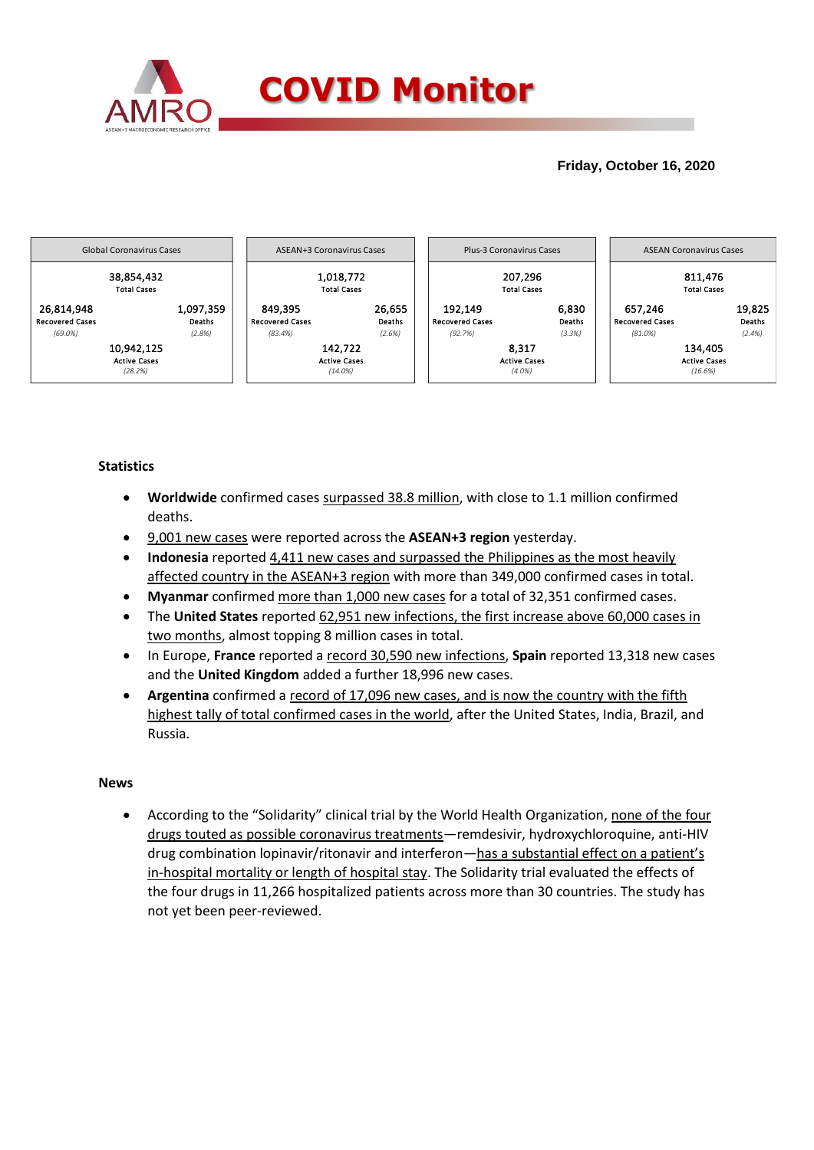

# **Friday, October 16, 2020**



## **Statistics**

- **Worldwide** confirmed cases surpassed 38.8 million, with close to 1.1 million confirmed deaths.
- 9,001 new cases were reported across the **ASEAN+3 region** yesterday.
- **Indonesia** reported 4,411 new cases and surpassed the Philippines as the most heavily affected country in the ASEAN+3 region with more than 349,000 confirmed cases in total.
- **Myanmar** confirmed more than 1,000 new cases for a total of 32,351 confirmed cases.
- The **United States** reported 62,951 new infections, the first increase above 60,000 cases in two months, almost topping 8 million cases in total.
- In Europe, **France** reported a record 30,590 new infections, **Spain** reported 13,318 new cases and the **United Kingdom** added a further 18,996 new cases.
- **Argentina** confirmed a record of 17,096 new cases, and is now the country with the fifth highest tally of total confirmed cases in the world, after the United States, India, Brazil, and Russia.

### **News**

 According to the "Solidarity" clinical trial by the World Health Organization, none of the four drugs touted as possible coronavirus treatments—remdesivir, hydroxychloroquine, anti-HIV drug combination lopinavir/ritonavir and interferon—has a substantial effect on a patient's in-hospital mortality or length of hospital stay. The Solidarity trial evaluated the effects of the four drugs in 11,266 hospitalized patients across more than 30 countries. The study has not yet been peer-reviewed.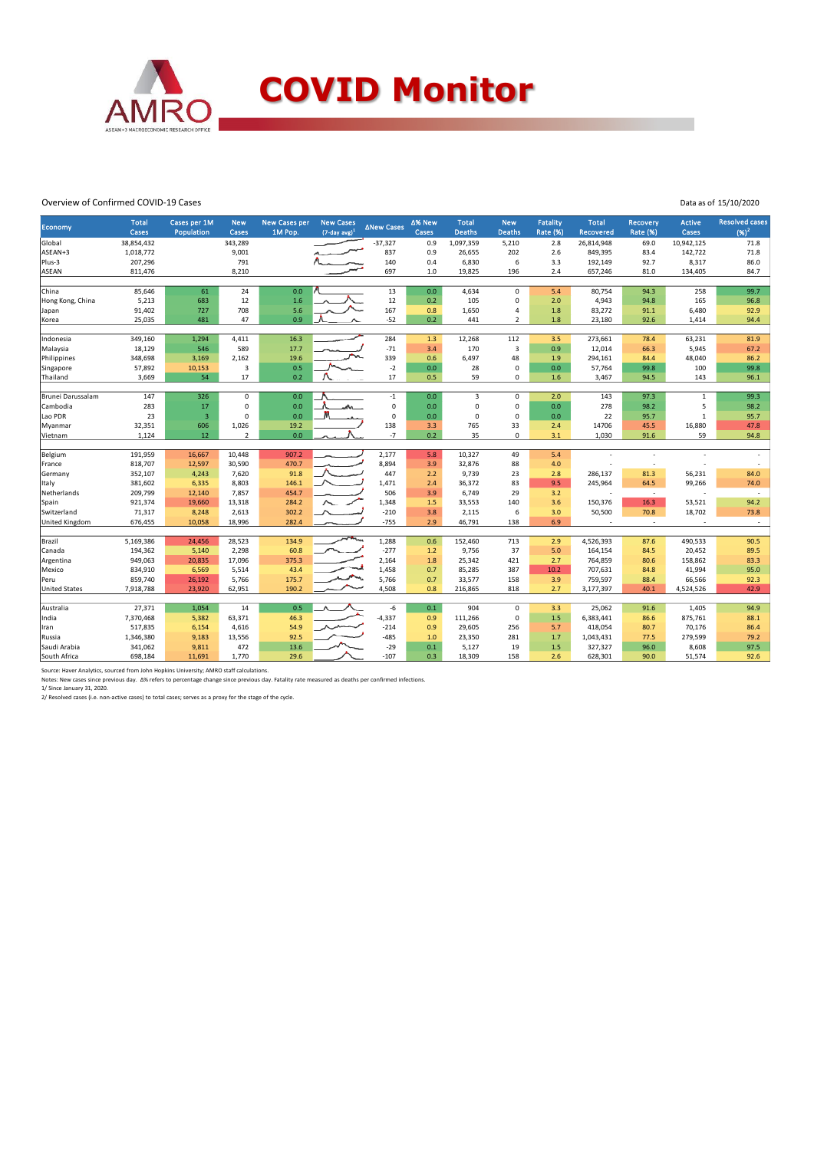

#### Overview of Confirmed COVID-19 Cases

Data as of 15/10/2020

|                      | <b>Total</b>         | Cases per 1M   | <b>New</b>     | <b>New Cases per</b> | <b>New Cases</b>    | <b>∆New Cases</b> | ∆% New         | <b>Total</b>   | <b>New</b>                 | <b>Fatality</b> | <b>Total</b>             | <b>Recovery</b>          | <b>Active</b>     | <b>Resolved cases</b> |
|----------------------|----------------------|----------------|----------------|----------------------|---------------------|-------------------|----------------|----------------|----------------------------|-----------------|--------------------------|--------------------------|-------------------|-----------------------|
| Economy              | <b>Cases</b>         | Population     | Cases          | 1M Pop.              | $(7$ -day avg $)^1$ |                   | Cases          | <b>Deaths</b>  | <b>Deaths</b>              | <b>Rate (%)</b> | <b>Recovered</b>         | <b>Rate (%)</b>          | Cases             | $(96)^2$              |
| Global               | 38,854,432           |                | 343,289        |                      |                     | $-37,327$         | 0.9            | 1,097,359      | 5,210                      | 2.8             | 26,814,948               | 69.0                     | 10,942,125        | 71.8                  |
| ASEAN+3              | 1,018,772            |                | 9,001          |                      |                     | 837               | 0.9            | 26,655         | 202                        | 2.6             | 849,395                  | 83.4                     | 142,722           | 71.8                  |
| Plus-3               | 207,296              |                | 791            |                      |                     | 140               | 0.4            | 6,830          | 6                          | 3.3             | 192,149                  | 92.7                     | 8,317             | 86.0                  |
| ASEAN                | 811,476              |                | 8,210          |                      |                     | 697               | 1.0            | 19,825         | 196                        | 2.4             | 657,246                  | 81.0                     | 134,405           | 84.7                  |
|                      |                      |                |                |                      |                     |                   |                |                |                            |                 |                          |                          |                   |                       |
| China                | 85,646               | 61             | 24             | 0.0                  |                     | 13                | 0.0            | 4,634          | $\Omega$                   | 5.4             | 80,754                   | 94.3                     | 258               | 99.7                  |
| Hong Kong, China     | 5,213                | 683            | 12             | 1.6                  |                     | 12                | 0.2            | 105            | 0                          | 2.0             | 4,943                    | 94.8                     | 165               | 96.8                  |
| Japan                | 91,402               | 727            | 708            | 5.6                  |                     | 167               | 0.8            | 1,650          | $\overline{a}$             | 1.8             | 83,272                   | 91.1                     | 6,480             | 92.9                  |
| Korea                | 25,035               | 481            | 47             | 0.9                  |                     | $-52$             | 0.2            | 441            | $\overline{2}$             | 1.8             | 23,180                   | 92.6                     | 1,414             | 94.4                  |
|                      |                      |                |                |                      |                     |                   |                |                |                            |                 |                          |                          |                   |                       |
| Indonesia            | 349,160              | 1,294          | 4,411          | 16.3                 |                     | 284               | 1.3            | 12,268         | 112                        | 3.5             | 273,661                  | 78.4                     | 63,231            | 81.9                  |
| Malaysia             | 18,129               | 546            | 589            | 17.7                 |                     | $-71$             | 3.4            | 170            | $\overline{\mathbf{3}}$    | 0.9             | 12,014                   | 66.3                     | 5,945             | 67.2                  |
| Philippines          | 348,698              | 3,169          | 2,162          | 19.6                 |                     | 339               | 0.6            | 6,497          | 48                         | 1.9             | 294,161                  | 84.4                     | 48,040            | 86.2                  |
| Singapore            | 57,892               | 10,153         | 3<br>17        | 0.5<br>0.2           |                     | $-2$<br>17        | $0.0\,$<br>0.5 | 28             | $\mathbf 0$<br>0           | 0.0             | 57,764                   | 99.8                     | 100               | 99.8                  |
| Thailand             | 3,669                | 54             |                |                      |                     |                   |                | 59             |                            | 1.6             | 3,467                    | 94.5                     | 143               | 96.1                  |
| Brunei Darussalam    | 147                  | 326            | $\mathbf{0}$   | 0.0                  |                     | $-1$              | 0.0            | $\overline{3}$ | $\mathbf 0$                | 2.0             | 143                      | 97.3                     | $\mathbf{1}$      | 99.3                  |
| Cambodia             | 283                  | 17             | 0              | 0.0                  | "∧⊾                 | $\pmb{0}$         | 0.0            | $\mathbf 0$    | $\mathbf 0$                | 0.0             | 278                      | 98.2                     | 5                 | 98.2                  |
| Lao PDR              | 23                   | $\overline{3}$ | 0              | 0.0                  | M                   | 0                 | 0.0            | $\Omega$       | $\mathbf 0$                | 0.0             | 22                       | 95.7                     | $\mathbf{1}$      | 95.7                  |
| Myanmar              | 32,351               | 606            | 1,026          | 19.2                 |                     | 138               | 3.3            | 765            | 33                         | 2.4             | 14706                    | 45.5                     | 16,880            | 47.8                  |
| Vietnam              | 1.124                | 12             | $\overline{2}$ | 0.0                  |                     | $-7$              | 0.2            | 35             | $\mathbf 0$                | 3.1             | 1,030                    | 91.6                     | 59                | 94.8                  |
|                      |                      |                |                |                      |                     |                   |                |                |                            |                 |                          |                          |                   |                       |
| Belgium              | 191,959              | 16,667         | 10,448         | 907.2                |                     | 2,177             | 5.8            | 10,327         | 49                         | 5.4             |                          | ÷                        |                   |                       |
| France               | 818,707              | 12,597         | 30,590         | 470.7                |                     | 8,894             | 3.9            | 32,876         | 88                         | 4.0             |                          | ٠                        |                   |                       |
| Germany              | 352,107              | 4,243          | 7,620          | 91.8                 |                     | 447               | 2.2            | 9,739          | 23                         | 2.8             | 286,137                  | 81.3                     | 56,231            | 84.0                  |
| Italy                | 381,602              | 6,335          | 8,803          | 146.1                |                     | 1,471             | 2.4            | 36,372         | 83                         | 9.5             | 245,964                  | 64.5                     | 99,266            | 74.0                  |
| Netherlands          | 209,799              | 12,140         | 7,857          | 454.7                |                     | 506               | 3.9            | 6,749          | 29                         | 3.2             |                          | $\overline{\phantom{a}}$ |                   | ÷                     |
| Spain                | 921,374              | 19,660         | 13,318         | 284.2                |                     | 1,348             | 1.5            | 33,553         | 140                        | 3.6             | 150,376                  | 16.3                     | 53,521            | 94.2                  |
| Switzerland          | 71,317               | 8,248          | 2,613          | 302.2                |                     | $-210$            | 3.8            | 2,115          | 6                          | 3.0             | 50,500                   | 70.8                     | 18,702            | 73.8                  |
| United Kingdom       | 676,455              | 10,058         | 18,996         | 282.4                |                     | $-755$            | 2.9            | 46,791         | 138                        | 6.9             | $\overline{\phantom{a}}$ | $\overline{\phantom{a}}$ |                   | $\sim$                |
|                      |                      |                |                |                      |                     |                   |                |                |                            |                 |                          |                          |                   |                       |
| Brazil               | 5,169,386            | 24,456         | 28,523         | 134.9                |                     | 1,288             | 0.6            | 152,460        | 713                        | 2.9             | 4,526,393                | 87.6                     | 490,533           | 90.5                  |
| Canada               | 194,362              | 5,140          | 2,298          | 60.8                 |                     | $-277$            | 1.2            | 9,756          | 37                         | 5.0             | 164,154                  | 84.5                     | 20,452            | 89.5                  |
| Argentina            | 949,063              | 20,835         | 17,096         | 375.3                |                     | 2,164             | 1.8            | 25,342         | 421                        | 2.7             | 764,859                  | 80.6                     | 158,862           | 83.3                  |
| Mexico               | 834,910              | 6,569          | 5,514          | 43.4                 |                     | 1,458             | 0.7            | 85,285         | 387                        | 10.2            | 707,631                  | 84.8                     | 41,994            | 95.0                  |
| Peru                 | 859,740              | 26,192         | 5,766          | 175.7                |                     | 5,766             | 0.7            | 33,577         | 158                        | 3.9             | 759,597                  | 88.4                     | 66,566            | 92.3                  |
| <b>United States</b> | 7,918,788            | 23,920         | 62,951         | 190.2                |                     | 4,508             | 0.8            | 216,865        | 818                        | 2.7             | 3,177,397                | 40.1                     | 4,524,526         | 42.9                  |
|                      | 27,371               | 1,054          | $14\,$         | 0.5                  |                     | $-6$              | 0.1            |                |                            |                 |                          |                          | 1,405             |                       |
| Australia            | 7,370,468            | 5,382          | 63,371         | 46.3                 |                     | $-4,337$          | 0.9            | 904<br>111,266 | $\mathsf 0$<br>$\mathbf 0$ | 3.3<br>1.5      | 25,062                   | 91.6<br>86.6             | 875,761           | 94.9<br>88.1          |
| India                |                      |                |                | 54.9                 |                     | $-214$            | 0.9            | 29,605         |                            |                 | 6,383,441                |                          |                   | 86.4                  |
| Iran<br>Russia       | 517,835<br>1,346,380 | 6,154<br>9,183 | 4,616          | 92.5                 |                     | $-485$            | 1.0            | 23,350         | 256<br>281                 | 5.7<br>1.7      | 418,054                  | 80.7<br>77.5             | 70,176<br>279,599 | 79.2                  |
| Saudi Arabia         | 341,062              | 9,811          | 13,556<br>472  | 13.6                 |                     | $-29$             | 0.1            | 5,127          | 19                         | 1.5             | 1,043,431<br>327,327     | 96.0                     | 8,608             | 97.5                  |
|                      | 698,184              | 11,691         | 1,770          | 29.6                 |                     | $-107$            | 0.3            | 18,309         | 158                        | 2.6             | 628,301                  | 90.0                     | 51,574            | 92.6                  |
| South Africa         |                      |                |                |                      |                     |                   |                |                |                            |                 |                          |                          |                   |                       |

Source: Haver Analytics, sourced from John Hopkins University; AMRO staff calculations.<br>Notes: New cases since previous day. Δ% refers to percentage change since previous day. Fatality rate measured as deaths per confirme